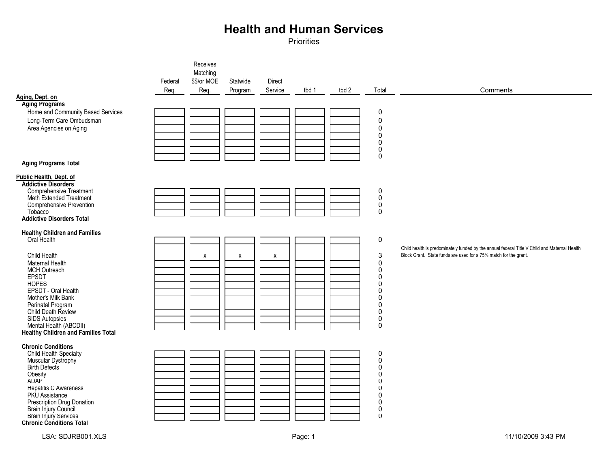|                                                            |         | Receives    |          |                    |       |       |                                  |                                                                                              |
|------------------------------------------------------------|---------|-------------|----------|--------------------|-------|-------|----------------------------------|----------------------------------------------------------------------------------------------|
|                                                            |         | Matching    |          |                    |       |       |                                  |                                                                                              |
|                                                            | Federal | \$\$/or MOE | Statwide | Direct             |       |       |                                  |                                                                                              |
| Aging, Dept. on                                            | Req.    | Req.        | Program  | Service            | tbd 1 | tbd 2 | Total                            | Comments                                                                                     |
| <b>Aging Programs</b>                                      |         |             |          |                    |       |       |                                  |                                                                                              |
| Home and Community Based Services                          |         |             |          |                    |       |       | 0                                |                                                                                              |
| Long-Term Care Ombudsman                                   |         |             |          |                    |       |       | $\pmb{0}$                        |                                                                                              |
| Area Agencies on Aging                                     |         |             |          |                    |       |       | $\mathbf 0$                      |                                                                                              |
|                                                            |         |             |          |                    |       |       | 0                                |                                                                                              |
|                                                            |         |             |          |                    |       |       | $\mathbf 0$<br>$\mathbf 0$       |                                                                                              |
|                                                            |         |             |          |                    |       |       | $\mathbf 0$                      |                                                                                              |
| <b>Aging Programs Total</b>                                |         |             |          |                    |       |       |                                  |                                                                                              |
| Public Health, Dept. of                                    |         |             |          |                    |       |       |                                  |                                                                                              |
| <b>Addictive Disorders</b>                                 |         |             |          |                    |       |       |                                  |                                                                                              |
| <b>Comprehensive Treatment</b>                             |         |             |          |                    |       |       | $\pmb{0}$                        |                                                                                              |
| <b>Meth Extended Treatment</b><br>Comprehensive Prevention |         |             |          |                    |       |       | $\ddot{\mathbf{0}}$<br>$\pmb{0}$ |                                                                                              |
| Tobacco                                                    |         |             |          |                    |       |       | $\mathbf 0$                      |                                                                                              |
| <b>Addictive Disorders Total</b>                           |         |             |          |                    |       |       |                                  |                                                                                              |
| <b>Healthy Children and Families</b>                       |         |             |          |                    |       |       |                                  |                                                                                              |
| Oral Health                                                |         |             |          |                    |       |       | $\mathsf 0$                      |                                                                                              |
|                                                            |         |             |          |                    |       |       |                                  | Child health is predominately funded by the annual federal Title V Child and Maternal Health |
| Child Health                                               |         | X           | X        | $\pmb{\mathsf{X}}$ |       |       | $\mathbf{3}$                     | Block Grant. State funds are used for a 75% match for the grant.                             |
| Maternal Health<br><b>MCH Outreach</b>                     |         |             |          |                    |       |       | $\mathbf 0$<br>$\mathbf 0$       |                                                                                              |
| EPSDT                                                      |         |             |          |                    |       |       | $\mathbf 0$                      |                                                                                              |
| <b>HOPES</b>                                               |         |             |          |                    |       |       | $\mathbf 0$                      |                                                                                              |
| EPSDT - Oral Health                                        |         |             |          |                    |       |       | $\mathbf 0$                      |                                                                                              |
| Mother's Milk Bank                                         |         |             |          |                    |       |       | 0                                |                                                                                              |
| Perinatal Program<br>Child Death Review                    |         |             |          |                    |       |       | $\overline{0}$<br>$\mathbf 0$    |                                                                                              |
| <b>SIDS Autopsies</b>                                      |         |             |          |                    |       |       | $\pmb{0}$                        |                                                                                              |
| Mental Health (ABCDII)                                     |         |             |          |                    |       |       | $\mathbf 0$                      |                                                                                              |
| Healthy Children and Families Total                        |         |             |          |                    |       |       |                                  |                                                                                              |
| <b>Chronic Conditions</b>                                  |         |             |          |                    |       |       |                                  |                                                                                              |
| Child Health Specialty                                     |         |             |          |                    |       |       | $\pmb{0}$                        |                                                                                              |
| Muscular Dystrophy<br><b>Birth Defects</b>                 |         |             |          |                    |       |       | $\pmb{0}$<br>$\pmb{0}$           |                                                                                              |
| Obesity                                                    |         |             |          |                    |       |       | $\Omega$                         |                                                                                              |
| ADAP <sup>1</sup>                                          |         |             |          |                    |       |       | $\mathbf 0$                      |                                                                                              |
| <b>Hepatitis C Awareness</b>                               |         |             |          |                    |       |       | $\mathbf 0$                      |                                                                                              |
| PKU Assistance                                             |         |             |          |                    |       |       | $\mathbf 0$                      |                                                                                              |
| Prescription Drug Donation                                 |         |             |          |                    |       |       | $\mathbf 0$<br>$\pmb{0}$         |                                                                                              |
| Brain Injury Council<br>Brain Injury Services              |         |             |          |                    |       |       | $\mathbf 0$                      |                                                                                              |
| <b>Chronic Conditions Total</b>                            |         |             |          |                    |       |       |                                  |                                                                                              |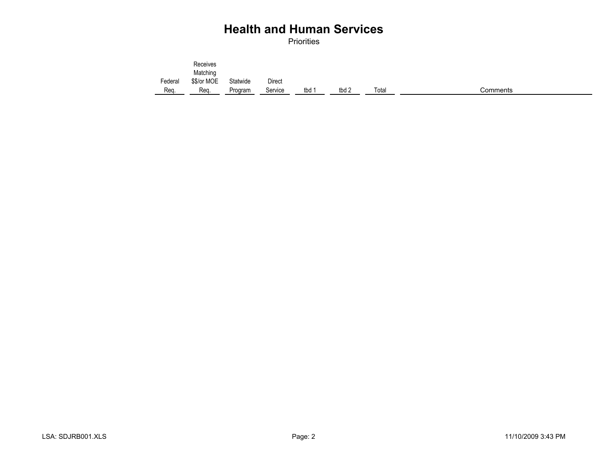|         | Receives    |          |               |       |       |       |          |
|---------|-------------|----------|---------------|-------|-------|-------|----------|
|         | Matching    |          |               |       |       |       |          |
| Federal | \$\$/or MOE | Statwide | <b>Direct</b> |       |       |       |          |
| Req.    | Reg.        | Program  | Service       | tbd 1 | tbd 2 | Total | Comments |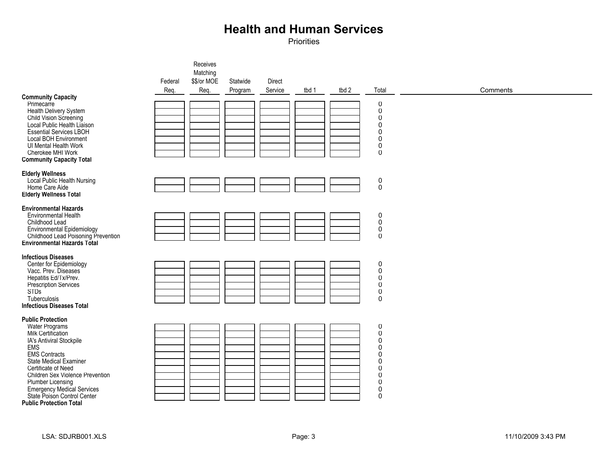| <b>Community Capacity</b><br>Primecarre<br>Health Delivery System<br>Child Vision Screening<br>Local Public Health Liaison<br><b>Essential Services LBOH</b><br><b>Local BOH Environment</b><br>UI Mental Health Work                                                                                                                                     | Federal<br>Req. | Receives<br>Matching<br>\$\$/or MOE<br>Req. | Statwide<br>Program | Direct<br>Service | tbd 1 | tbd 2 | Total<br>0<br>$\pmb{0}$<br>$\pmb{0}$<br>$\pmb{0}$<br>$\boldsymbol{0}$<br>$\pmb{0}$<br>$\pmb{0}$                                                                            | Comments |
|-----------------------------------------------------------------------------------------------------------------------------------------------------------------------------------------------------------------------------------------------------------------------------------------------------------------------------------------------------------|-----------------|---------------------------------------------|---------------------|-------------------|-------|-------|----------------------------------------------------------------------------------------------------------------------------------------------------------------------------|----------|
| Cherokee MHI Work<br><b>Community Capacity Total</b>                                                                                                                                                                                                                                                                                                      |                 |                                             |                     |                   |       |       | $\mathbf 0$                                                                                                                                                                |          |
| <b>Elderly Wellness</b><br>Local Public Health Nursing<br>Home Care Aide<br><b>Elderly Wellness Total</b>                                                                                                                                                                                                                                                 |                 |                                             |                     |                   |       |       | $\begin{smallmatrix}0\\0\end{smallmatrix}$                                                                                                                                 |          |
| <b>Environmental Hazards</b><br><b>Environmental Health</b><br>Childhood Lead<br>Environmental Epidemiology<br>Childhood Lead Poisoning Prevention<br>Environmental Hazards Total                                                                                                                                                                         |                 |                                             |                     |                   |       |       | $\boldsymbol{0}$<br>$\overline{0}$<br>$\pmb{0}$<br>$\overline{0}$                                                                                                          |          |
| <b>Infectious Diseases</b><br>Center for Epidemiology<br>Vacc. Prev. Diseases<br>Hepatitis Ed/Tx/Prev.<br>Prescription Services<br><b>STDs</b><br>Tuberculosis<br><b>Infectious Diseases Total</b>                                                                                                                                                        |                 |                                             |                     |                   |       |       | $\mathbf 0$<br>$\pmb{0}$<br>$\pmb{0}$<br>$\pmb{0}$<br>$\pmb{0}$<br>$\mathbf 0$                                                                                             |          |
| <b>Public Protection</b><br><b>Water Programs</b><br>Milk Certification<br>IA's Antiviral Stockpile<br>EMS<br><b>EMS Contracts</b><br><b>State Medical Examiner</b><br>Certificate of Need<br>Children Sex Violence Prevention<br>Plumber Licensing<br><b>Emergency Medical Services</b><br>State Poison Control Center<br><b>Public Protection Total</b> |                 |                                             |                     |                   |       |       | $\pmb{0}$<br>$\pmb{0}$<br>$\mathbf 0$<br>$\boldsymbol{0}$<br>$\mathbf 0$<br>$\mathbf 0$<br>$\mathbf 0$<br>$\mathbf 0$<br>$\mathbf 0$<br>$\boldsymbol{0}$<br>$\overline{0}$ |          |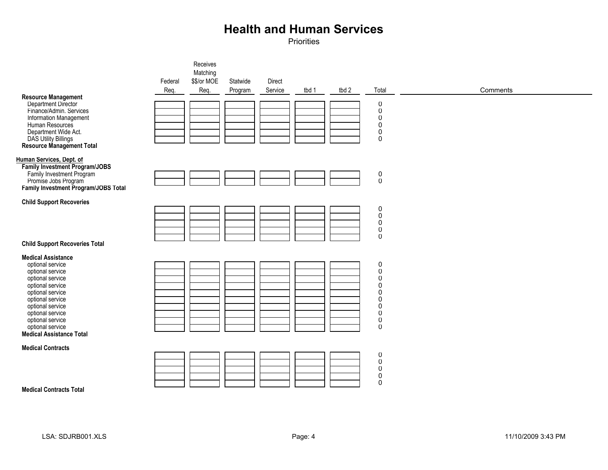|                                                                    |         | Receives    |          |         |       |       |                                              |          |
|--------------------------------------------------------------------|---------|-------------|----------|---------|-------|-------|----------------------------------------------|----------|
|                                                                    |         | Matching    |          |         |       |       |                                              |          |
|                                                                    | Federal | \$\$/or MOE | Statwide | Direct  |       |       |                                              |          |
|                                                                    | Req.    | Req.        | Program  | Service | tbd 1 | tbd 2 | Total                                        | Comments |
| <b>Resource Management</b>                                         |         |             |          |         |       |       |                                              |          |
| Department Director                                                |         |             |          |         |       |       | $\pmb{0}$                                    |          |
| Finance/Admin. Services                                            |         |             |          |         |       |       | $\pmb{0}$                                    |          |
| Information Management                                             |         |             |          |         |       |       | 0                                            |          |
| Human Resources<br>Department Wide Act.                            |         |             |          |         |       |       | $\mathbf 0$<br>$\pmb{0}$                     |          |
| <b>DAS Utility Billings</b>                                        |         |             |          |         |       |       | 0                                            |          |
| Resource Management Total                                          |         |             |          |         |       |       |                                              |          |
|                                                                    |         |             |          |         |       |       |                                              |          |
| Human Services, Dept. of                                           |         |             |          |         |       |       |                                              |          |
| <b>Family Investment Program/JOBS</b><br>Family Investment Program |         |             |          |         |       |       |                                              |          |
| Promise Jobs Program                                               |         |             |          |         |       |       | $\begin{smallmatrix} 0\\0 \end{smallmatrix}$ |          |
| Family Investment Program/JOBS Total                               |         |             |          |         |       |       |                                              |          |
|                                                                    |         |             |          |         |       |       |                                              |          |
| <b>Child Support Recoveries</b>                                    |         |             |          |         |       |       | $\pmb{0}$                                    |          |
|                                                                    |         |             |          |         |       |       | $\pmb{0}$                                    |          |
|                                                                    |         |             |          |         |       |       | $\pmb{0}$                                    |          |
|                                                                    |         |             |          |         |       |       | 0                                            |          |
|                                                                    |         |             |          |         |       |       | $\pmb{0}$                                    |          |
| <b>Child Support Recoveries Total</b>                              |         |             |          |         |       |       |                                              |          |
| <b>Medical Assistance</b>                                          |         |             |          |         |       |       |                                              |          |
| optional service                                                   |         |             |          |         |       |       | $\pmb{0}$                                    |          |
| optional service                                                   |         |             |          |         |       |       | $\pmb{0}$                                    |          |
| optional service                                                   |         |             |          |         |       |       | $\pmb{0}$                                    |          |
| optional service                                                   |         |             |          |         |       |       | $\pmb{0}$                                    |          |
| optional service<br>optional service                               |         |             |          |         |       |       | 0<br>0                                       |          |
| optional service                                                   |         |             |          |         |       |       | 0                                            |          |
| optional service                                                   |         |             |          |         |       |       | $\mathbf 0$                                  |          |
| optional service                                                   |         |             |          |         |       |       | $\pmb{0}$                                    |          |
| optional service                                                   |         |             |          |         |       |       | $\pmb{0}$                                    |          |
| <b>Medical Assistance Total</b>                                    |         |             |          |         |       |       |                                              |          |
| <b>Medical Contracts</b>                                           |         |             |          |         |       |       |                                              |          |
|                                                                    |         |             |          |         |       |       | $\pmb{0}$                                    |          |
|                                                                    |         |             |          |         |       |       | $\pmb{0}$                                    |          |
|                                                                    |         |             |          |         |       |       | $\pmb{0}$                                    |          |
|                                                                    |         |             |          |         |       |       | $\pmb{0}$<br>$\pmb{0}$                       |          |
| <b>Medical Contracts Total</b>                                     |         |             |          |         |       |       |                                              |          |
|                                                                    |         |             |          |         |       |       |                                              |          |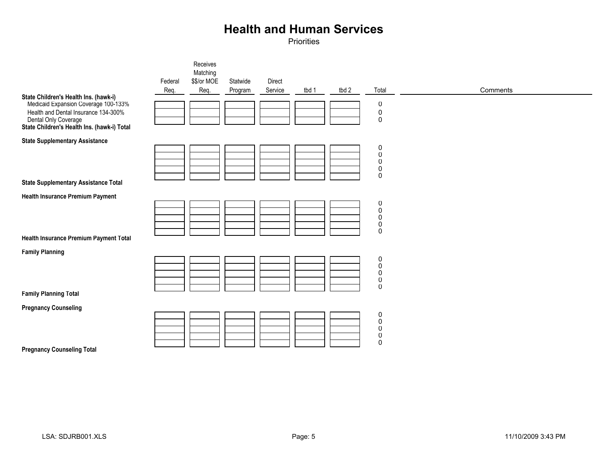|                                                                                                                                                                                              | Federal<br>Req. | Receives<br>Matching<br>\$\$/or MOE<br>Req. | Statwide<br>Program | Direct<br>Service | tbd 1 | tbd 2 | Total                                                                 | Comments |
|----------------------------------------------------------------------------------------------------------------------------------------------------------------------------------------------|-----------------|---------------------------------------------|---------------------|-------------------|-------|-------|-----------------------------------------------------------------------|----------|
| State Children's Health Ins. (hawk-i)<br>Medicaid Expansion Coverage 100-133%<br>Health and Dental Insurance 134-300%<br>Dental Only Coverage<br>State Children's Health Ins. (hawk-i) Total |                 |                                             |                     |                   |       |       | $\pmb{0}$<br>$\mathbf 0$<br>$\pmb{0}$                                 |          |
| <b>State Supplementary Assistance</b><br><b>State Supplementary Assistance Total</b>                                                                                                         |                 |                                             |                     |                   |       |       | $\mathbf 0$<br>$\pmb{0}$<br>$\mathbf 0$<br>$\mathbf 0$<br>$\mathbf 0$ |          |
| <b>Health Insurance Premium Payment</b><br>Health Insurance Premium Payment Total                                                                                                            |                 |                                             |                     |                   |       |       | $\pmb{0}$<br>$\mathbf 0$<br>$\pmb{0}$<br>$\pmb{0}$<br>$\pmb{0}$       |          |
| <b>Family Planning</b><br><b>Family Planning Total</b>                                                                                                                                       |                 |                                             |                     |                   |       |       | $\bf{0}$<br>$\pmb{0}$<br>$\mathbf 0$<br>$\mathbf 0$<br>$\mathbf 0$    |          |
| <b>Pregnancy Counseling</b><br><b>Pregnancy Counseling Total</b>                                                                                                                             |                 |                                             |                     |                   |       |       | $\pmb{0}$<br>$\pmb{0}$<br>$\mathbf 0$<br>$\pmb{0}$<br>$\pmb{0}$       |          |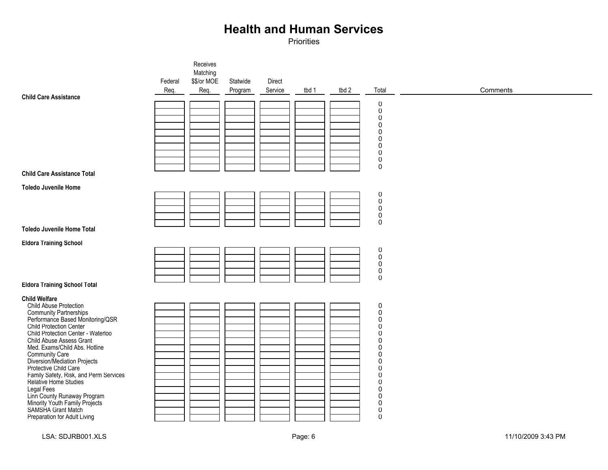|                                                                                       |         | Receives                |          |         |       |       |                                         |          |
|---------------------------------------------------------------------------------------|---------|-------------------------|----------|---------|-------|-------|-----------------------------------------|----------|
|                                                                                       | Federal | Matching<br>\$\$/or MOE | Statwide | Direct  |       |       |                                         |          |
|                                                                                       | Req.    | Req.                    | Program  | Service | tbd 1 | tbd 2 | Total                                   | Comments |
| <b>Child Care Assistance</b>                                                          |         |                         |          |         |       |       | $\pmb{0}$                               |          |
|                                                                                       |         |                         |          |         |       |       | $\mathbf 0$                             |          |
|                                                                                       |         |                         |          |         |       |       | $\mathbf 0$<br>$\pmb{0}$                |          |
|                                                                                       |         |                         |          |         |       |       | $\mathbf 0$                             |          |
|                                                                                       |         |                         |          |         |       |       | $\mathbf 0$<br>$\mathbf 0$              |          |
|                                                                                       |         |                         |          |         |       |       | $\mathbf 0$<br>$\mathbf 0$              |          |
|                                                                                       |         |                         |          |         |       |       | $\mathbf 0$                             |          |
| <b>Child Care Assistance Total</b>                                                    |         |                         |          |         |       |       |                                         |          |
| <b>Toledo Juvenile Home</b>                                                           |         |                         |          |         |       |       |                                         |          |
|                                                                                       |         |                         |          |         |       |       | 0<br>$\pmb{0}$                          |          |
|                                                                                       |         |                         |          |         |       |       | $\pmb{0}$<br>$\mathbf 0$                |          |
|                                                                                       |         |                         |          |         |       |       | $\mathbf 0$                             |          |
| <b>Toledo Juvenile Home Total</b>                                                     |         |                         |          |         |       |       |                                         |          |
| <b>Eldora Training School</b>                                                         |         |                         |          |         |       |       |                                         |          |
|                                                                                       |         |                         |          |         |       |       | $\boldsymbol{0}$<br>$\ddot{\mathbf{0}}$ |          |
|                                                                                       |         |                         |          |         |       |       | $\mathbf 0$<br>$\pmb{0}$                |          |
|                                                                                       |         |                         |          |         |       |       | $\pmb{0}$                               |          |
| <b>Eldora Training School Total</b>                                                   |         |                         |          |         |       |       |                                         |          |
| <b>Child Welfare</b>                                                                  |         |                         |          |         |       |       |                                         |          |
| Child Abuse Protection                                                                |         |                         |          |         |       |       | $\pmb{0}$<br>$\pmb{0}$                  |          |
| Community Partnerships<br>Performance Based Monitoring/QSR<br>Child Protection Center |         |                         |          |         |       |       | $\mathbf 0$<br>$\mathbf 0$              |          |
| Child Protection Center - Waterloo                                                    |         |                         |          |         |       |       | $\mathbf 0$                             |          |
| Child Abuse Assess Grant<br>Med. Exams/Child Abs. Hotline                             |         |                         |          |         |       |       | $\mathbf 0$<br>$\mathbf 0$              |          |
| <b>Community Care<br/>Diversion/Mediation Projects</b>                                |         |                         |          |         |       |       | $\mathbf 0$                             |          |
| Protective Child Care                                                                 |         |                         |          |         |       |       | $\pmb{0}$<br>$\mathbf 0$                |          |
| Family Safety, Risk, and Perm Services<br>Relative Home Studies                       |         |                         |          |         |       |       | $\mathbf 0$                             |          |
| <b>Legal Fees</b>                                                                     |         |                         |          |         |       |       | $\mathbf 0$<br>$\pmb{0}$                |          |
| Linn County Runaway Program                                                           |         |                         |          |         |       |       | $\pmb{0}$<br>$\mathbf 0$                |          |
| Minority Youth Family Projects<br>SAMSHA Grant Match                                  |         |                         |          |         |       |       | $\pmb{0}$                               |          |
| Preparation for Adult Living                                                          |         |                         |          |         |       |       | $\mathbf 0$                             |          |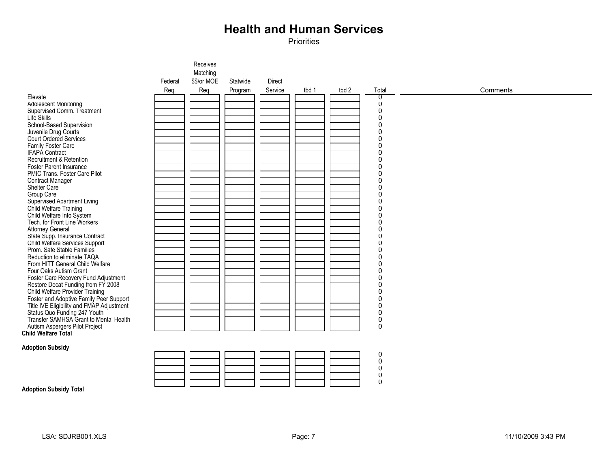|                                                       |         | Receives    |          |         |       |       |                  |          |
|-------------------------------------------------------|---------|-------------|----------|---------|-------|-------|------------------|----------|
|                                                       |         | Matching    |          |         |       |       |                  |          |
|                                                       | Federal | \$\$/or MOE | Statwide | Direct  |       |       |                  |          |
|                                                       |         |             |          |         |       |       |                  |          |
|                                                       | Req.    | Req.        | Program  | Service | tbd 1 | tbd 2 | Total            | Comments |
| Elevate                                               |         |             |          |         |       |       | ℧                |          |
| <b>Adolescent Monitoring</b>                          |         |             |          |         |       |       | 0                |          |
| Supervised Comm. Treatment                            |         |             |          |         |       |       | $\pmb{0}$        |          |
| Life Skills                                           |         |             |          |         |       |       | $\mathbf 0$      |          |
| School-Based Supervision                              |         |             |          |         |       |       | $\pmb{0}$        |          |
| Juvenile Drug Courts                                  |         |             |          |         |       |       | $\boldsymbol{0}$ |          |
| Court Ordered Services                                |         |             |          |         |       |       | $\pmb{0}$        |          |
| Family Foster Care                                    |         |             |          |         |       |       | $\pmb{0}$        |          |
| IFAPÁ Contract                                        |         |             |          |         |       |       | $\pmb{0}$        |          |
| Recruitment & Retention                               |         |             |          |         |       |       | $\pmb{0}$        |          |
| <b>Foster Parent Insurance</b>                        |         |             |          |         |       |       | $\pmb{0}$        |          |
| PMIC Trans. Foster Care Pilot                         |         |             |          |         |       |       | $\boldsymbol{0}$ |          |
| <b>Contract Manager</b>                               |         |             |          |         |       |       | $\pmb{0}$        |          |
| Shelter Care                                          |         |             |          |         |       |       | 0                |          |
| Group Care                                            |         |             |          |         |       |       | $\mathbf 0$      |          |
| Supervised Apartment Living                           |         |             |          |         |       |       | $\mathbf 0$      |          |
| Child Welfare Training                                |         |             |          |         |       |       | $\mathbf 0$      |          |
| Child Welfare Info System                             |         |             |          |         |       |       | $\boldsymbol{0}$ |          |
| Tech. for Front Line Workers                          |         |             |          |         |       |       | $\mathbf 0$      |          |
| <b>Attorney General</b>                               |         |             |          |         |       |       | $\mathsf 0$      |          |
| State Supp. Insurance Contract                        |         |             |          |         |       |       | $\mathbf 0$      |          |
| Child Welfare Services Support                        |         |             |          |         |       |       | $\mathbf 0$      |          |
| Prom. Safe Stable Families                            |         |             |          |         |       |       | $\mathbf 0$      |          |
| Reduction to eliminate TAQA                           |         |             |          |         |       |       | $\mathsf 0$      |          |
| From HITT General Child Welfare                       |         |             |          |         |       |       | $\boldsymbol{0}$ |          |
| Four Oaks Autism Grant                                |         |             |          |         |       |       | $\pmb{0}$        |          |
| Foster Care Recovery Fund Adjustment                  |         |             |          |         |       |       | $\pmb{0}$        |          |
| Restore Decat Funding from FY 2008                    |         |             |          |         |       |       | $\mathsf 0$      |          |
| Child Welfare Provider Training                       |         |             |          |         |       |       | $\pmb{0}$        |          |
| Foster and Adoptive Family Peer Support               |         |             |          |         |       |       | $\pmb{0}$        |          |
| Title IVE Eligibility and FMAP Adjustment             |         |             |          |         |       |       | $\boldsymbol{0}$ |          |
| Status Quo Funding 247 Youth                          |         |             |          |         |       |       | $\pmb{0}$        |          |
| Transfer SAMHSA Grant to Mental Health                |         |             |          |         |       |       | $\pmb{0}$        |          |
|                                                       |         |             |          |         |       |       | $\mathbf 0$      |          |
| Autism Aspergers Pilot Project<br>Child Welfare Total |         |             |          |         |       |       |                  |          |
|                                                       |         |             |          |         |       |       |                  |          |
| <b>Adoption Subsidy</b>                               |         |             |          |         |       |       |                  |          |
|                                                       |         |             |          |         |       |       | $\pmb{0}$        |          |
|                                                       |         |             |          |         |       |       | $\overline{0}$   |          |
|                                                       |         |             |          |         |       |       | $\mathsf 0$      |          |
|                                                       |         |             |          |         |       |       | $\pmb{0}$        |          |
|                                                       |         |             |          |         |       |       | $\overline{0}$   |          |
| <b>Adoption Subsidy Total</b>                         |         |             |          |         |       |       |                  |          |
|                                                       |         |             |          |         |       |       |                  |          |
|                                                       |         |             |          |         |       |       |                  |          |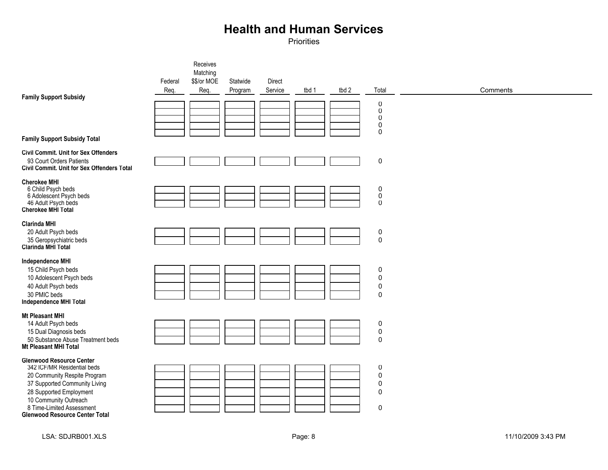| <b>Family Support Subsidy</b><br><b>Family Support Subsidy Total</b>                                                                                                                                                                                      | Federal<br>Req. | Receives<br>Matching<br>\$\$/or MOE<br>Req. | Statwide<br>Program | Direct<br>Service | tbd 1 | tbd 2 | Total<br>$\pmb{0}$<br>$\mathsf 0$<br>0<br>$\mathsf 0$<br>$\mathbf 0$                | Comments |
|-----------------------------------------------------------------------------------------------------------------------------------------------------------------------------------------------------------------------------------------------------------|-----------------|---------------------------------------------|---------------------|-------------------|-------|-------|-------------------------------------------------------------------------------------|----------|
| <b>Civil Commit. Unit for Sex Offenders</b><br>93 Court Orders Patients<br>Civil Commit. Unit for Sex Offenders Total                                                                                                                                     |                 |                                             |                     |                   |       |       | $\pmb{0}$                                                                           |          |
| <b>Cherokee MHI</b><br>6 Child Psych beds<br>6 Adolescent Psych beds<br>46 Adult Psych beds<br>Cherokee MHI Total                                                                                                                                         |                 |                                             |                     |                   |       |       | $\mathbf 0$<br>$\mathsf 0$<br>$\mathbf 0$                                           |          |
| <b>Clarinda MHI</b><br>20 Adult Psych beds<br>35 Geropsychiatric beds<br>Clarinda MHI Total                                                                                                                                                               |                 |                                             |                     |                   |       |       | $\pmb{0}$<br>$\pmb{0}$                                                              |          |
| <b>Independence MHI</b><br>15 Child Psych beds<br>10 Adolescent Psych beds<br>40 Adult Psych beds<br>30 PMIC beds<br>Independence MHI Total                                                                                                               |                 |                                             |                     |                   |       |       | $\pmb{0}$<br>$\pmb{0}$<br>$\pmb{0}$<br>$\mathbf 0$                                  |          |
| <b>Mt Pleasant MHI</b><br>14 Adult Psych beds<br>15 Dual Diagnosis beds<br>50 Substance Abuse Treatment beds<br>Mt Pleasant MHI Total                                                                                                                     |                 |                                             |                     |                   |       |       | $\pmb{0}$<br>$\pmb{0}$<br>$\pmb{0}$                                                 |          |
| <b>Glenwood Resource Center</b><br>342 ICF/MR Residential beds<br>20 Community Respite Program<br>37 Supported Community Living<br>28 Supported Employment<br>10 Community Outreach<br>8 Time-Limited Assessment<br><b>Glenwood Resource Center Total</b> |                 |                                             |                     |                   |       |       | $\pmb{0}$<br>$\mathbf 0$<br>$\mathsf{O}\xspace$<br>$\mathsf{O}\xspace$<br>$\pmb{0}$ |          |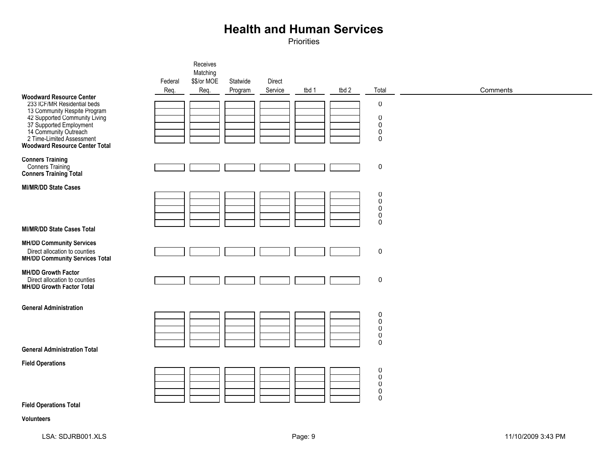Priorities

|                                                                                                                                                                                                                                                           |                 | Receives<br>Matching |                     |                   |       |       |                                                                            |          |
|-----------------------------------------------------------------------------------------------------------------------------------------------------------------------------------------------------------------------------------------------------------|-----------------|----------------------|---------------------|-------------------|-------|-------|----------------------------------------------------------------------------|----------|
|                                                                                                                                                                                                                                                           | Federal<br>Req. | \$\$/or MOE<br>Req.  | Statwide<br>Program | Direct<br>Service | tbd 1 | tbd 2 | Total                                                                      | Comments |
| <b>Woodward Resource Center</b><br>233 ICF/MR Residential beds<br>13 Community Respite Program<br>42 Supported Community Living<br>37 Supported Employment<br>14 Community Outreach<br>2 Time-Limited Assessment<br><b>Woodward Resource Center Total</b> |                 |                      |                     |                   |       |       | $\pmb{0}$<br>$\mathbf 0$<br>$\pmb{0}$<br>$\boldsymbol{0}$<br>$\mathbf 0$   |          |
| <b>Conners Training</b><br>Conners Training<br><b>Conners Training Total</b>                                                                                                                                                                              |                 |                      |                     |                   |       |       | $\pmb{0}$                                                                  |          |
| <b>MI/MR/DD State Cases</b>                                                                                                                                                                                                                               |                 |                      |                     |                   |       |       | $\pmb{0}$<br>$_{\rm 0}^{\rm 0}$<br>$\boldsymbol{0}$<br>$\mathbf 0$         |          |
| <b>MI/MR/DD State Cases Total</b>                                                                                                                                                                                                                         |                 |                      |                     |                   |       |       |                                                                            |          |
| <b>MH/DD Community Services</b><br>Direct allocation to counties<br><b>MH/DD Community Services Total</b>                                                                                                                                                 |                 |                      |                     |                   |       |       | $\pmb{0}$                                                                  |          |
| <b>MH/DD Growth Factor</b><br>Direct allocation to counties<br><b>MH/DD Growth Factor Total</b>                                                                                                                                                           |                 |                      |                     |                   |       |       | $\pmb{0}$                                                                  |          |
| <b>General Administration</b>                                                                                                                                                                                                                             |                 |                      |                     |                   |       |       |                                                                            |          |
| <b>General Administration Total</b>                                                                                                                                                                                                                       |                 |                      |                     |                   |       |       | 0<br>$\pmb{0}$<br>$\ddot{\mathbf{0}}$<br>$\pmb{0}$<br>$\pmb{0}$            |          |
| <b>Field Operations</b>                                                                                                                                                                                                                                   |                 |                      |                     |                   |       |       |                                                                            |          |
|                                                                                                                                                                                                                                                           |                 |                      |                     |                   |       |       | $_{\rm 0}^{\rm 0}$<br>$\ddot{\mathbf{0}}$<br>$\boldsymbol{0}$<br>$\pmb{0}$ |          |
| <b>Field Operations Total</b>                                                                                                                                                                                                                             |                 |                      |                     |                   |       |       |                                                                            |          |
| Volunteers                                                                                                                                                                                                                                                |                 |                      |                     |                   |       |       |                                                                            |          |

LSA: SDJRB001.XLS 11/10/2009 3:43 PM